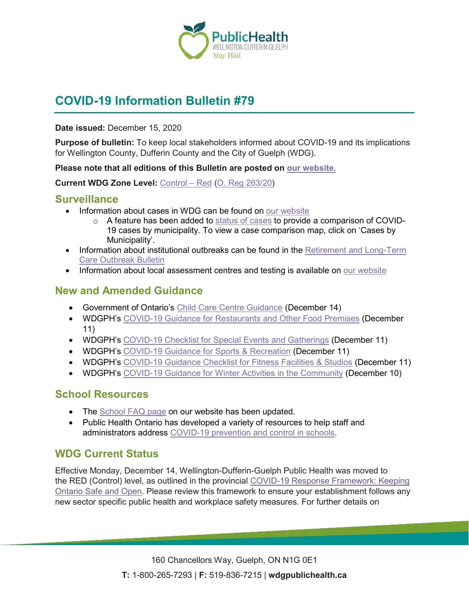

# **COVID-19 Information Bulletin #79**

#### **Date issued:** December 15, 2020

**Purpose of bulletin:** To keep local stakeholders informed about COVID-19 and its implications for Wellington County, Dufferin County and the City of Guelph (WDG).

**Please note that all editions of this Bulletin are posted on [our website.](https://www.wdgpublichealth.ca/your-health/covid-19-information-workplaces-and-living-spaces/community-stakeholder-bulletins)**

**Current WDG Zone Level:** [Control](https://www.ontario.ca/page/covid-19-response-framework-keeping-ontario-safe-and-open#control) – Red [\(O. Reg 263/20\)](https://www.ontario.ca/laws/regulation/200263)

### **Surveillance**

- Information about cases in WDG can be found on [our website](https://wdgpublichealth.ca/your-health/covid-19-information-public/status-cases-wdg)
	- o A feature has been added to [status of cases](https://wdgpublichealth.ca/your-health/covid-19-information-public/status-cases-wdg) to provide a comparison of COVID-19 cases by municipality. To view a case comparison map, click on 'Cases by Municipality'.
- Information about institutional outbreaks can be found in the **Retirement and Long-Term** [Care Outbreak Bulletin](https://wdgpublichealth.ca/node/1542)
- Information about local assessment centres and testing is available on [our website](https://www.wdgpublichealth.ca/your-health/covid-19-information-public/assessment-centres-wdg)

## **New and Amended Guidance**

- Government of Ontario's Child [Care Centre Guidance](https://www.ontario.ca/page/covid-19-reopening-child-care-centres) (December 14)
- WDGPH's [COVID-19 Guidance for Restaurants and](https://www.wdgpublichealth.ca/sites/default/files/covid-19_guidance_restaurants_and_other_food_premises_-_red.pdf) Other Food Premises (December 11)
- WDGPH's [COVID-19 Checklist for Special Events and](https://www.wdgpublichealth.ca/sites/default/files/covid-19_guidance_checklist_for_special_events_-_red.pdf) Gatherings (December 11)
- WDGPH's COVID-19 [Guidance for Sports](https://www.wdgpublichealth.ca/sites/default/files/covid-19_guidance_for_sports_and_rec_-_red.pdf) & Recreation (December 11)
- WDGPH's [COVID-19 Guidance Checklist for Fitness Facilities](https://www.wdgpublichealth.ca/sites/default/files/covid-19_guidance_for_sports_and_rec_-_red_0.pdf) & Studi[os](https://www.wdgpublichealth.ca/sites/default/files/covid-19_checklist_for_fitness_facilities_-_orange.pdf) (December 11)
- WDGPH's [COVID-19 Guidance for Winter Activities in the Community](https://wdgpublichealth.ca/sites/default/files/covid-19_guidance_for_outdoor_activity_dec_10.pdf) (December 10)

### **School Resources**

- The [School FAQ page](https://www.wdgpublichealth.ca/your-health/covid-19-information-schools-parents-and-teachers/schools-frequently-asked-questions) on our website has been updated.
- Public Health Ontario has developed a variety of resources to help staff and administrators address [COVID-19 prevention and control in schools.](https://www.publichealthontario.ca/en/diseases-and-conditions/infectious-diseases/respiratory-diseases/novel-coronavirus/school-resources)

### **WDG Current Status**

Effective Monday, December 14, Wellington-Dufferin-Guelph Public Health was moved to the RED (Control) level, as outlined in the provincial [COVID-19 Response Framework: Keeping](https://covid-19.ontario.ca/zones-and-restrictions)  [Ontario Safe and Open.](https://covid-19.ontario.ca/zones-and-restrictions) Please review this framework to ensure your establishment follows any new sector specific public health and workplace safety measures. For further details on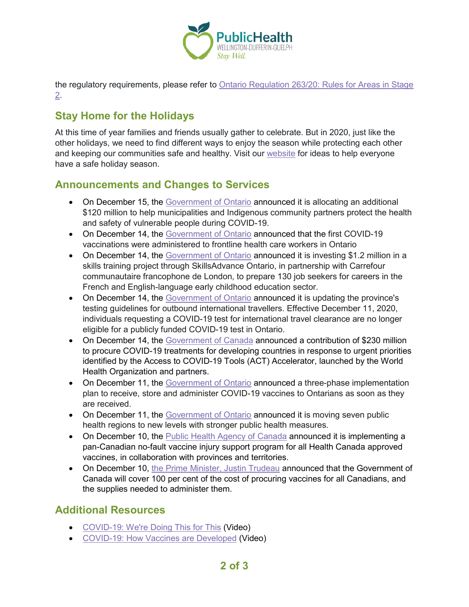

the regulatory requirements, please refer to [Ontario Regulation 263/20: Rules for Areas in Stage](https://www.ontario.ca/laws/regulation/200263)  [2.](https://www.ontario.ca/laws/regulation/200263)

## **Stay Home for the Holidays**

At this time of year families and friends usually gather to celebrate. But in 2020, just like the other holidays, we need to find different ways to enjoy the season while protecting each other and keeping our communities safe and healthy. Visit our [website](https://www.wdgpublichealth.ca/news/stay-home-holidays) for ideas to help everyone have a safe holiday season.

## **Announcements and Changes to Services**

- On December 15, the [Government of Ontario](https://news.ontario.ca/en/release/59642/ontario-helps-municipalities-and-indigenous-partners-respond-to-covid-19) announced it is allocating an additional \$120 million to help municipalities and Indigenous community partners protect the health and safety of vulnerable people during COVID-19.
- On December 14, the [Government of](https://news.ontario.ca/en/statement/59635/ontario-delivers-first-covid-19-vaccines-to-frontline-health-workers) Ontario announced that the first COVID-19 vaccinations were administered to frontline health care workers in Ontario
- On December 14, the [Government of Ontario](https://news.ontario.ca/en/release/59631/ontario-supports-the-training-of-early-childhood-educators) announced it is investing \$1.2 million in a skills training project through SkillsAdvance Ontario, in partnership with Carrefour communautaire francophone de London, to prepare 130 job seekers for careers in the French and English-language early childhood education sector.
- On December 14, the [Government of Ontario](https://news.ontario.ca/en/release/59628/ontario-updates-testing-guidelines-for-outbound-international-travellers) announced it is updating the province's testing guidelines for outbound international travellers. Effective December 11, 2020, individuals requesting a COVID-19 test for international travel clearance are no longer eligible for a publicly funded COVID-19 test in Ontario.
- On December 14, the [Government of Canada](https://www.canada.ca/en/global-affairs/news/2020/12/canada-announces-additional-support-for-equitable-access-to-covid-19-tests-treatments-and-vaccines.html) announced a contribution of \$230 million to procure COVID-19 treatments for developing countries in response to urgent priorities identified by the Access to COVID-19 Tools (ACT) Accelerator, launched by the World Health Organization and partners.
- On December 11, the [Government of Ontario](https://news.ontario.ca/en/release/59607/ontario-begins-rollout-of-covid-19-vaccine) announced a three-phase implementation plan to receive, store and administer COVID-19 vaccines to Ontarians as soon as they are received.
- On December 11, the [Government of Ontario](https://news.ontario.ca/en/release/59603/ontario-moving-regions-to-new-levels-with-stronger-public-health-measures) announced it is moving seven public health regions to new levels with stronger public health measures.
- On December 10, the [Public Health Agency of Canada](https://www.canada.ca/en/public-health/news/2020/12/government-of-canada-announces-pan-canadian-vaccine-injury-support-program.html) announced it is implementing a pan-Canadian no-fault vaccine injury support program for all Health Canada approved vaccines, in collaboration with provinces and territories.
- On December 10, [the Prime Minister, Justin Trudeau](https://pm.gc.ca/en/news/news-releases/2020/12/10/prime-minister-hosts-first-ministers-meeting-fighting-covid-19-and) announced that the Government of Canada will cover 100 per cent of the cost of procuring vaccines for all Canadians, and the supplies needed to administer them.

## **Additional Resources**

- [COVID-19: We're Doing This for This](https://health.canada.ca/en/public-health/services/video/covid-19-we-re-doing-this-for-this.html) (Video)
- [COVID-19: How Vaccines are Developed](https://www.canada.ca/en/public-health/services/video/covid-19-how-vaccines-developed.html) (Video)